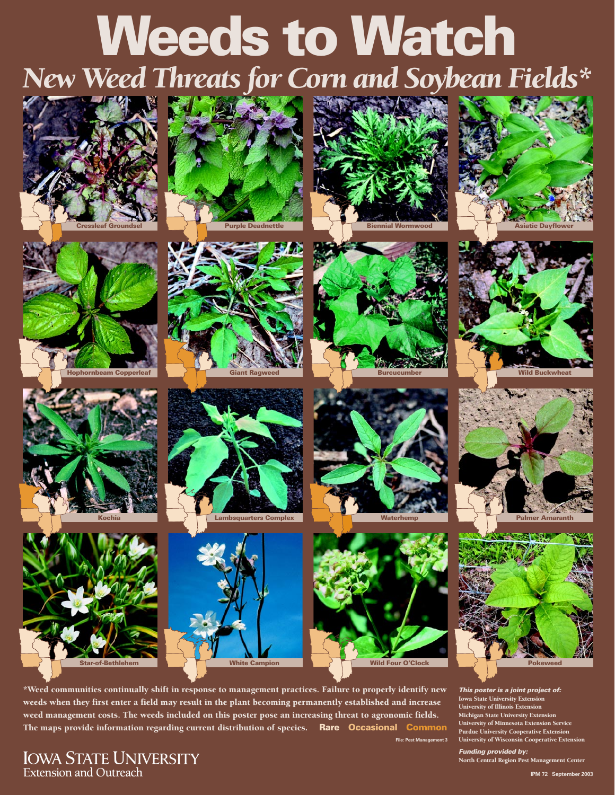## **Weeds to Watch**  *New Weed Threats for Corn and Soybean Fields\**





















**Burcucumber** 









**This poster is a joint project of:**  Iowa State University Extension University of Illinois Extension Michigan State University Extension<br>University of Minnesota Extension Service **File: Pest Management 3** University of Wisconsin Cooperative Extension

**Funding provided by:** North Central Region Pest Management Center

\*Weed communities continually shift in response to management practices. Failure to properly identify new weeds when they first enter a field may result in the plant becoming permanently established and increase weed management costs. The weeds included on this poster pose an increasing threat to agronomic fields. The maps provide information regarding current distribution of species. **Rare Occasional Common <sup>University of Minnesota Extension Service**</sup>

**IOWA STATE UNIVERSITY** Extension and Outreach

**IPM 72 September 2003**